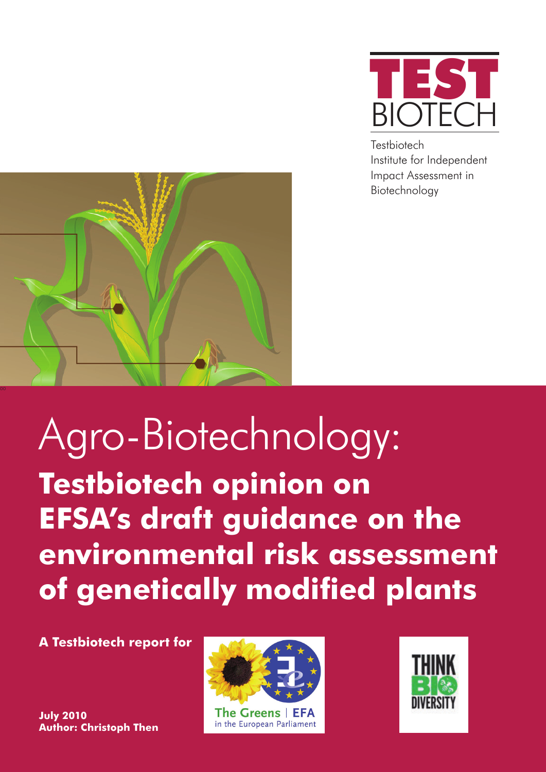

**Testbiotech** Institute for Independent Impact Assessment in Biotechnology



Agro-Biotechnology: **Testbiotech opinion on EFSA's draft guidance on the environmental risk assessment of genetically modified plants**

**A Testbiotech report for**

**July 2010 Author: Christoph Then**



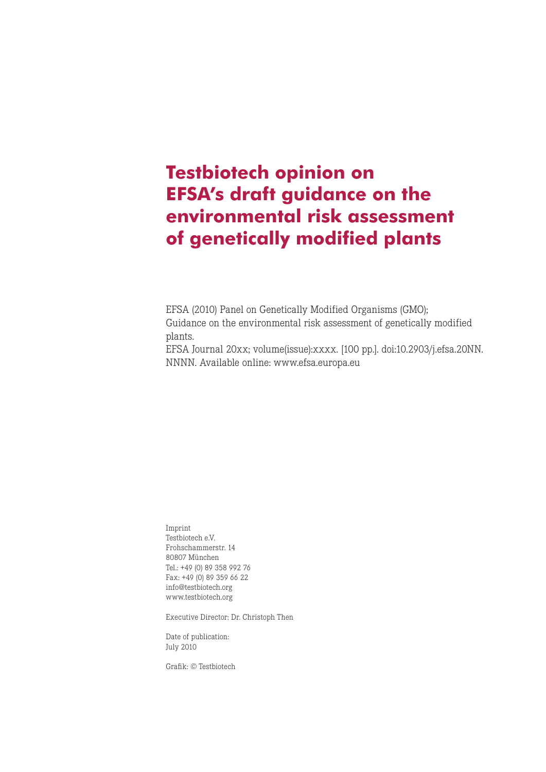# **Testbiotech opinion on EFSA's draft guidance on the environmental risk assessment of genetically modified plants**

EFSA (2010) Panel on Genetically Modified Organisms (GMO); Guidance on the environmental risk assessment of genetically modified plants.

EFSA Journal 20xx; volume(issue):xxxx. [100 pp.]. doi:10.2903/j.efsa.20NN. NNNN. Available online: www.efsa.europa.eu

Imprint Testbiotech e.V. Frohschammerstr. 14 80807 München Tel.: +49 (0) 89 358 992 76 Fax: +49 (0) 89 359 66 22 info@testbiotech.org www.testbiotech.org

Executive Director: Dr. Christoph Then

Date of publication: July 2010

Grafik: © Testbiotech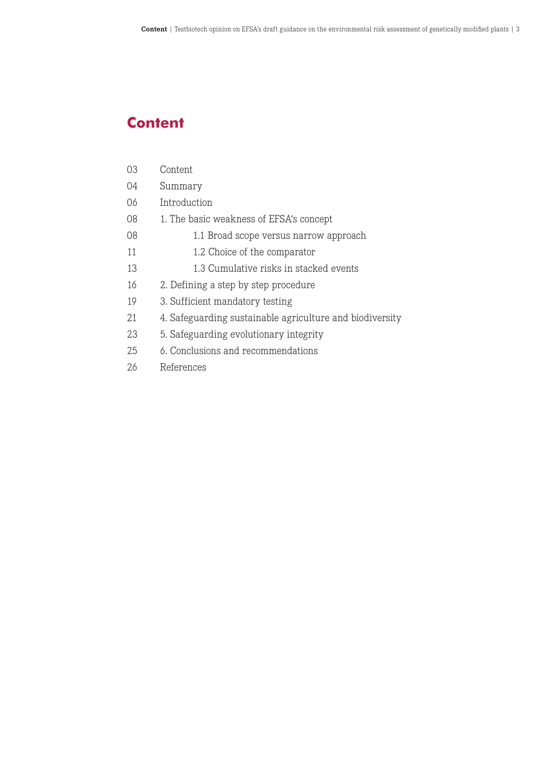### **Content**

- Content
- Summary
- Introduction
- 1. The basic weakness of EFSA's concept
- 08 1.1 Broad scope versus narrow approach
- 11 1.2 Choice of the comparator
- 13 1.3 Cumulative risks in stacked events
- 2. Defining a step by step procedure
- 3. Sufficient mandatory testing
- 4. Safeguarding sustainable agriculture and biodiversity
- 5. Safeguarding evolutionary integrity
- 6. Conclusions and recommendations
- References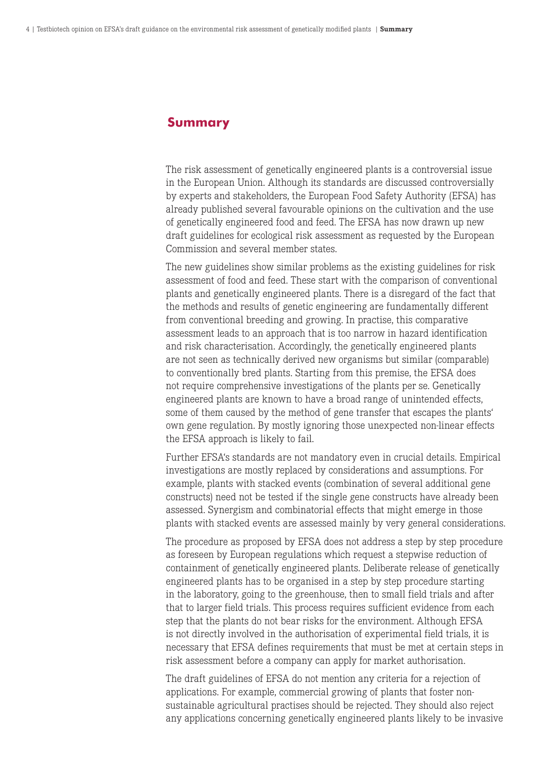#### **Summary**

The risk assessment of genetically engineered plants is a controversial issue in the European Union. Although its standards are discussed controversially by experts and stakeholders, the European Food Safety Authority (EFSA) has already published several favourable opinions on the cultivation and the use of genetically engineered food and feed. The EFSA has now drawn up new draft guidelines for ecological risk assessment as requested by the European Commission and several member states.

The new guidelines show similar problems as the existing guidelines for risk assessment of food and feed. These start with the comparison of conventional plants and genetically engineered plants. There is a disregard of the fact that the methods and results of genetic engineering are fundamentally different from conventional breeding and growing. In practise, this comparative assessment leads to an approach that is too narrow in hazard identification and risk characterisation. Accordingly, the genetically engineered plants are not seen as technically derived new organisms but similar (comparable) to conventionally bred plants. Starting from this premise, the EFSA does not require comprehensive investigations of the plants per se. Genetically engineered plants are known to have a broad range of unintended effects, some of them caused by the method of gene transfer that escapes the plants' own gene regulation. By mostly ignoring those unexpected non-linear effects the EFSA approach is likely to fail.

Further EFSA's standards are not mandatory even in crucial details. Empirical investigations are mostly replaced by considerations and assumptions. For example, plants with stacked events (combination of several additional gene constructs) need not be tested if the single gene constructs have already been assessed. Synergism and combinatorial effects that might emerge in those plants with stacked events are assessed mainly by very general considerations.

The procedure as proposed by EFSA does not address a step by step procedure as foreseen by European regulations which request a stepwise reduction of containment of genetically engineered plants. Deliberate release of genetically engineered plants has to be organised in a step by step procedure starting in the laboratory, going to the greenhouse, then to small field trials and after that to larger field trials. This process requires sufficient evidence from each step that the plants do not bear risks for the environment. Although EFSA is not directly involved in the authorisation of experimental field trials, it is necessary that EFSA defines requirements that must be met at certain steps in risk assessment before a company can apply for market authorisation.

The draft guidelines of EFSA do not mention any criteria for a rejection of applications. For example, commercial growing of plants that foster nonsustainable agricultural practises should be rejected. They should also reject any applications concerning genetically engineered plants likely to be invasive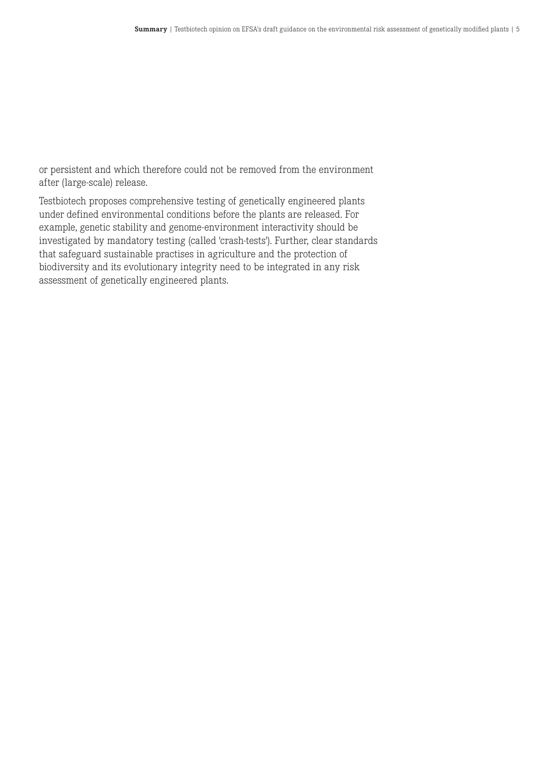or persistent and which therefore could not be removed from the environment after (large-scale) release.

Testbiotech proposes comprehensive testing of genetically engineered plants under defined environmental conditions before the plants are released. For example, genetic stability and genome-environment interactivity should be investigated by mandatory testing (called 'crash-tests'). Further, clear standards that safeguard sustainable practises in agriculture and the protection of biodiversity and its evolutionary integrity need to be integrated in any risk assessment of genetically engineered plants.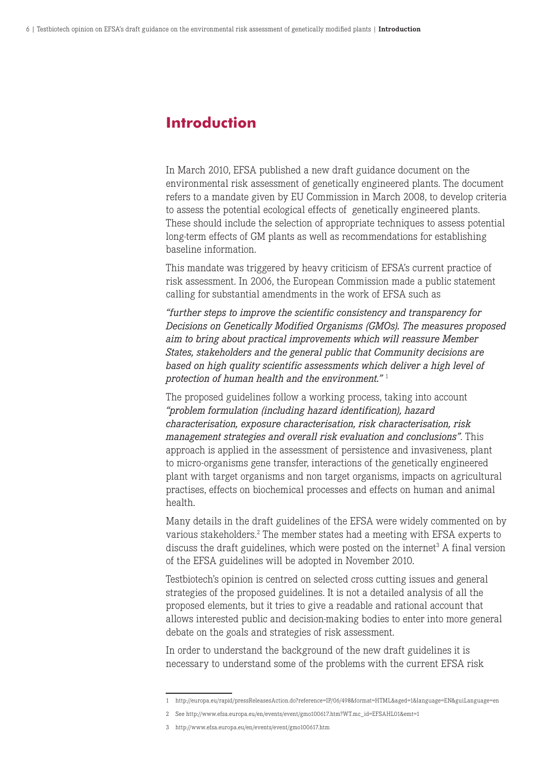### **Introduction**

In March 2010, EFSA published a new draft guidance document on the environmental risk assessment of genetically engineered plants. The document refers to a mandate given by EU Commission in March 2008, to develop criteria to assess the potential ecological effects of genetically engineered plants. These should include the selection of appropriate techniques to assess potential long-term effects of GM plants as well as recommendations for establishing baseline information.

This mandate was triggered by heavy criticism of EFSA's current practice of risk assessment. In 2006, the European Commission made a public statement calling for substantial amendments in the work of EFSA such as

*"further steps to improve the scientific consistency and transparency for Decisions on Genetically Modified Organisms (GMOs). The measures proposed aim to bring about practical improvements which will reassure Member States, stakeholders and the general public that Community decisions are based on high quality scientific assessments which deliver a high level of protection of human health and the environment."* <sup>1</sup>

The proposed guidelines follow a working process, taking into account *"problem formulation (including hazard identification), hazard characterisation, exposure characterisation, risk characterisation, risk management strategies and overall risk evaluation and conclusions"*. This approach is applied in the assessment of persistence and invasiveness, plant to micro-organisms gene transfer, interactions of the genetically engineered plant with target organisms and non target organisms, impacts on agricultural practises, effects on biochemical processes and effects on human and animal health.

Many details in the draft guidelines of the EFSA were widely commented on by various stakeholders.<sup>2</sup> The member states had a meeting with EFSA experts to discuss the draft guidelines, which were posted on the internet<sup>3</sup> A final version of the EFSA guidelines will be adopted in November 2010.

Testbiotech's opinion is centred on selected cross cutting issues and general strategies of the proposed guidelines. It is not a detailed analysis of all the proposed elements, but it tries to give a readable and rational account that allows interested public and decision-making bodies to enter into more general debate on the goals and strategies of risk assessment.

In order to understand the background of the new draft guidelines it is necessary to understand some of the problems with the current EFSA risk

<sup>1</sup> http://europa.eu/rapid/pressReleasesAction.do?reference=IP/06/498&format=HTML&aged=1&language=EN&guiLanguage=en

<sup>2</sup> See http://www.efsa.europa.eu/en/events/event/gmo100617.htm?WT.mc\_id=EFSAHL01&emt=1

<sup>3</sup> http://www.efsa.europa.eu/en/events/event/gmo100617.htm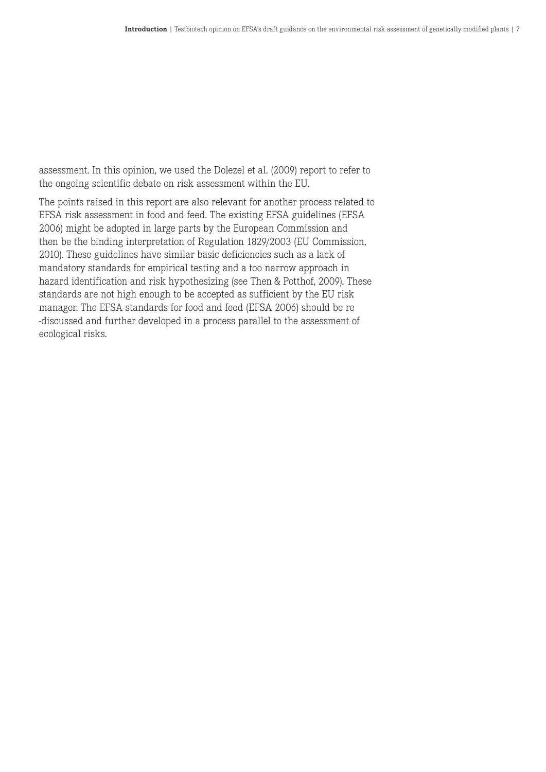assessment. In this opinion, we used the Dolezel et al. (2009) report to refer to the ongoing scientific debate on risk assessment within the EU.

The points raised in this report are also relevant for another process related to EFSA risk assessment in food and feed. The existing EFSA guidelines (EFSA 2006) might be adopted in large parts by the European Commission and then be the binding interpretation of Regulation 1829/2003 (EU Commission, 2010). These guidelines have similar basic deficiencies such as a lack of mandatory standards for empirical testing and a too narrow approach in hazard identification and risk hypothesizing (see Then & Potthof, 2009). These standards are not high enough to be accepted as sufficient by the EU risk manager. The EFSA standards for food and feed (EFSA 2006) should be re -discussed and further developed in a process parallel to the assessment of ecological risks.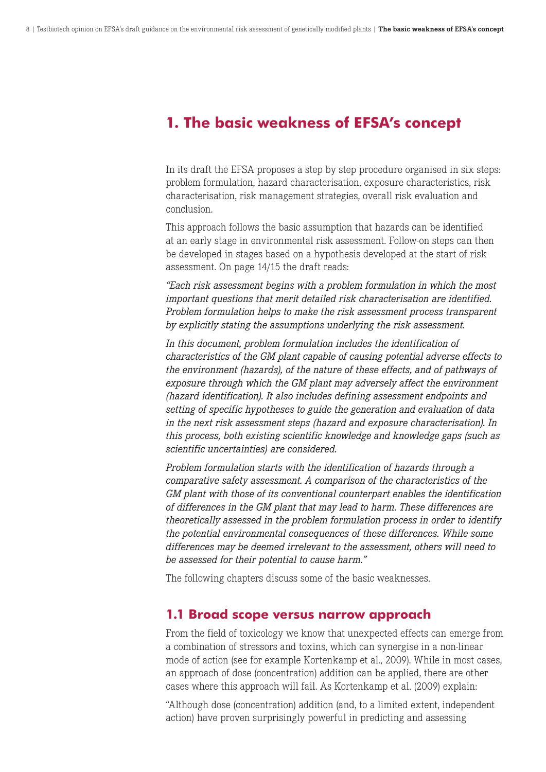### **1. The basic weakness of EFSA's concept**

In its draft the EFSA proposes a step by step procedure organised in six steps: problem formulation, hazard characterisation, exposure characteristics, risk characterisation, risk management strategies, overall risk evaluation and conclusion.

This approach follows the basic assumption that hazards can be identified at an early stage in environmental risk assessment. Follow-on steps can then be developed in stages based on a hypothesis developed at the start of risk assessment. On page 14/15 the draft reads:

*"Each risk assessment begins with a problem formulation in which the most important questions that merit detailed risk characterisation are identified. Problem formulation helps to make the risk assessment process transparent by explicitly stating the assumptions underlying the risk assessment.* 

*In this document, problem formulation includes the identification of characteristics of the GM plant capable of causing potential adverse effects to the environment (hazards), of the nature of these effects, and of pathways of exposure through which the GM plant may adversely affect the environment (hazard identification). It also includes defining assessment endpoints and setting of specific hypotheses to guide the generation and evaluation of data in the next risk assessment steps (hazard and exposure characterisation). In this process, both existing scientific knowledge and knowledge gaps (such as scientific uncertainties) are considered.* 

*Problem formulation starts with the identification of hazards through a comparative safety assessment. A comparison of the characteristics of the GM plant with those of its conventional counterpart enables the identification of differences in the GM plant that may lead to harm. These differences are theoretically assessed in the problem formulation process in order to identify the potential environmental consequences of these differences. While some differences may be deemed irrelevant to the assessment, others will need to be assessed for their potential to cause harm."* 

The following chapters discuss some of the basic weaknesses.

#### **1.1 Broad scope versus narrow approach**

From the field of toxicology we know that unexpected effects can emerge from a combination of stressors and toxins, which can synergise in a non-linear mode of action (see for example Kortenkamp et al., 2009). While in most cases, an approach of dose (concentration) addition can be applied, there are other cases where this approach will fail. As Kortenkamp et al. (2009) explain:

"Although dose (concentration) addition (and, to a limited extent, independent action) have proven surprisingly powerful in predicting and assessing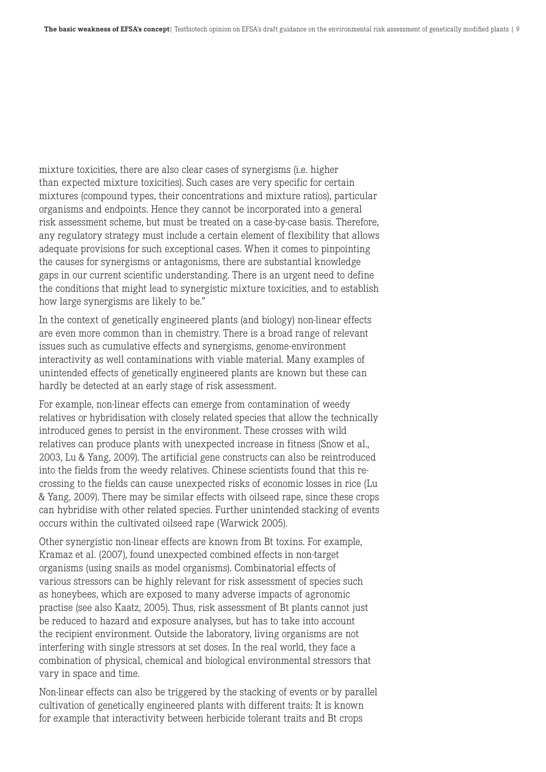mixture toxicities, there are also clear cases of synergisms (i.e. higher than expected mixture toxicities). Such cases are very specific for certain mixtures (compound types, their concentrations and mixture ratios), particular organisms and endpoints. Hence they cannot be incorporated into a general risk assessment scheme, but must be treated on a case-by-case basis. Therefore, any regulatory strategy must include a certain element of flexibility that allows adequate provisions for such exceptional cases. When it comes to pinpointing the causes for synergisms or antagonisms, there are substantial knowledge gaps in our current scientific understanding. There is an urgent need to define the conditions that might lead to synergistic mixture toxicities, and to establish how large synergisms are likely to be."

In the context of genetically engineered plants (and biology) non-linear effects are even more common than in chemistry. There is a broad range of relevant issues such as cumulative effects and synergisms, genome-environment interactivity as well contaminations with viable material. Many examples of unintended effects of genetically engineered plants are known but these can hardly be detected at an early stage of risk assessment.

For example, non-linear effects can emerge from contamination of weedy relatives or hybridisation with closely related species that allow the technically introduced genes to persist in the environment. These crosses with wild relatives can produce plants with unexpected increase in fitness (Snow et al., 2003, Lu & Yang, 2009). The artificial gene constructs can also be reintroduced into the fields from the weedy relatives. Chinese scientists found that this recrossing to the fields can cause unexpected risks of economic losses in rice (Lu & Yang, 2009). There may be similar effects with oilseed rape, since these crops can hybridise with other related species. Further unintended stacking of events occurs within the cultivated oilseed rape (Warwick 2005).

Other synergistic non-linear effects are known from Bt toxins. For example, Kramaz et al. (2007), found unexpected combined effects in non-target organisms (using snails as model organisms). Combinatorial effects of various stressors can be highly relevant for risk assessment of species such as honeybees, which are exposed to many adverse impacts of agronomic practise (see also Kaatz, 2005). Thus, risk assessment of Bt plants cannot just be reduced to hazard and exposure analyses, but has to take into account the recipient environment. Outside the laboratory, living organisms are not interfering with single stressors at set doses. In the real world, they face a combination of physical, chemical and biological environmental stressors that vary in space and time.

Non-linear effects can also be triggered by the stacking of events or by parallel cultivation of genetically engineered plants with different traits: It is known for example that interactivity between herbicide tolerant traits and Bt crops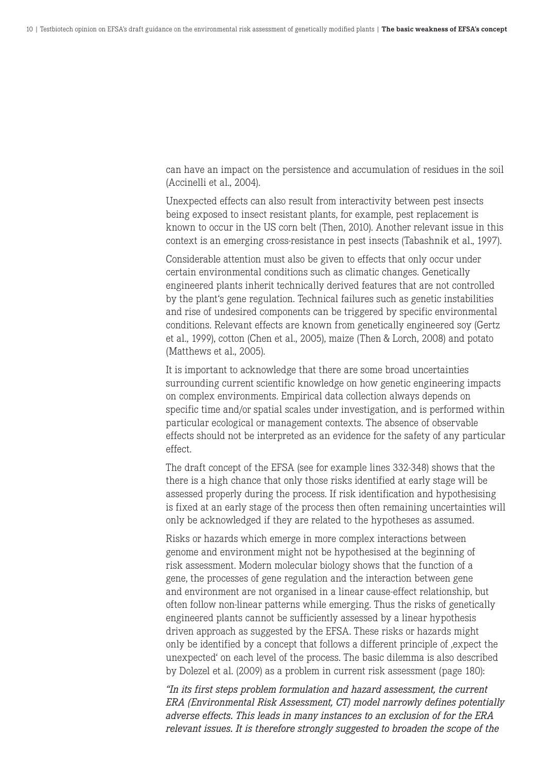can have an impact on the persistence and accumulation of residues in the soil (Accinelli et al., 2004).

Unexpected effects can also result from interactivity between pest insects being exposed to insect resistant plants, for example, pest replacement is known to occur in the US corn belt (Then, 2010). Another relevant issue in this context is an emerging cross-resistance in pest insects (Tabashnik et al., 1997).

Considerable attention must also be given to effects that only occur under certain environmental conditions such as climatic changes. Genetically engineered plants inherit technically derived features that are not controlled by the plant's gene regulation. Technical failures such as genetic instabilities and rise of undesired components can be triggered by specific environmental conditions. Relevant effects are known from genetically engineered soy (Gertz et al., 1999), cotton (Chen et al., 2005), maize (Then & Lorch, 2008) and potato (Matthews et al., 2005).

It is important to acknowledge that there are some broad uncertainties surrounding current scientific knowledge on how genetic engineering impacts on complex environments. Empirical data collection always depends on specific time and/or spatial scales under investigation, and is performed within particular ecological or management contexts. The absence of observable effects should not be interpreted as an evidence for the safety of any particular effect.

The draft concept of the EFSA (see for example lines 332-348) shows that the there is a high chance that only those risks identified at early stage will be assessed properly during the process. If risk identification and hypothesising is fixed at an early stage of the process then often remaining uncertainties will only be acknowledged if they are related to the hypotheses as assumed.

Risks or hazards which emerge in more complex interactions between genome and environment might not be hypothesised at the beginning of risk assessment. Modern molecular biology shows that the function of a gene, the processes of gene regulation and the interaction between gene and environment are not organised in a linear cause-effect relationship, but often follow non-linear patterns while emerging. Thus the risks of genetically engineered plants cannot be sufficiently assessed by a linear hypothesis driven approach as suggested by the EFSA. These risks or hazards might only be identified by a concept that follows a different principle of 'expect the unexpected' on each level of the process. The basic dilemma is also described by Dolezel et al. (2009) as a problem in current risk assessment (page 180):

*"In its first steps problem formulation and hazard assessment, the current ERA (Environmental Risk Assessment, CT) model narrowly defines potentially adverse effects. This leads in many instances to an exclusion of for the ERA relevant issues. It is therefore strongly suggested to broaden the scope of the*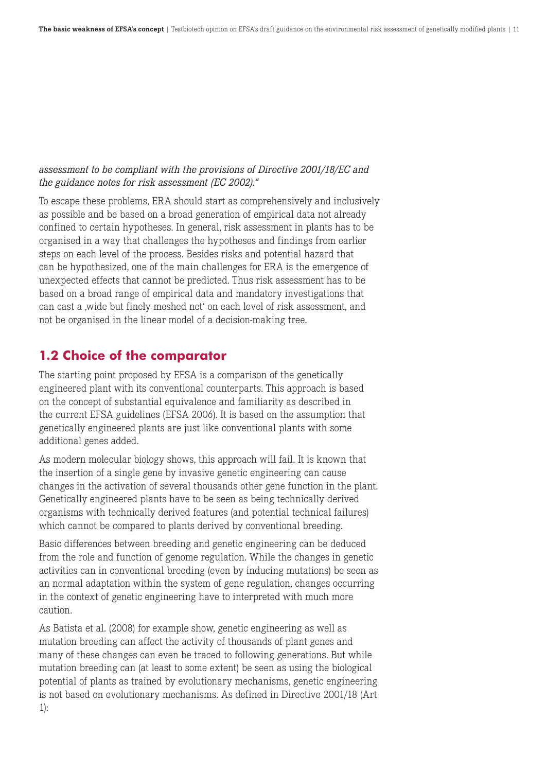#### *assessment to be compliant with the provisions of Directive 2001/18/EC and the guidance notes for risk assessment (EC 2002)."*

To escape these problems, ERA should start as comprehensively and inclusively as possible and be based on a broad generation of empirical data not already confined to certain hypotheses. In general, risk assessment in plants has to be organised in a way that challenges the hypotheses and findings from earlier steps on each level of the process. Besides risks and potential hazard that can be hypothesized, one of the main challenges for ERA is the emergence of unexpected effects that cannot be predicted. Thus risk assessment has to be based on a broad range of empirical data and mandatory investigations that can cast a 'wide but finely meshed net' on each level of risk assessment, and not be organised in the linear model of a decision-making tree.

### **1.2 Choice of the comparator**

The starting point proposed by EFSA is a comparison of the genetically engineered plant with its conventional counterparts. This approach is based on the concept of substantial equivalence and familiarity as described in the current EFSA guidelines (EFSA 2006). It is based on the assumption that genetically engineered plants are just like conventional plants with some additional genes added.

As modern molecular biology shows, this approach will fail. It is known that the insertion of a single gene by invasive genetic engineering can cause changes in the activation of several thousands other gene function in the plant. Genetically engineered plants have to be seen as being technically derived organisms with technically derived features (and potential technical failures) which cannot be compared to plants derived by conventional breeding.

Basic differences between breeding and genetic engineering can be deduced from the role and function of genome regulation. While the changes in genetic activities can in conventional breeding (even by inducing mutations) be seen as an normal adaptation within the system of gene regulation, changes occurring in the context of genetic engineering have to interpreted with much more caution.

As Batista et al. (2008) for example show, genetic engineering as well as mutation breeding can affect the activity of thousands of plant genes and many of these changes can even be traced to following generations. But while mutation breeding can (at least to some extent) be seen as using the biological potential of plants as trained by evolutionary mechanisms, genetic engineering is not based on evolutionary mechanisms. As defined in Directive 2001/18 (Art 1):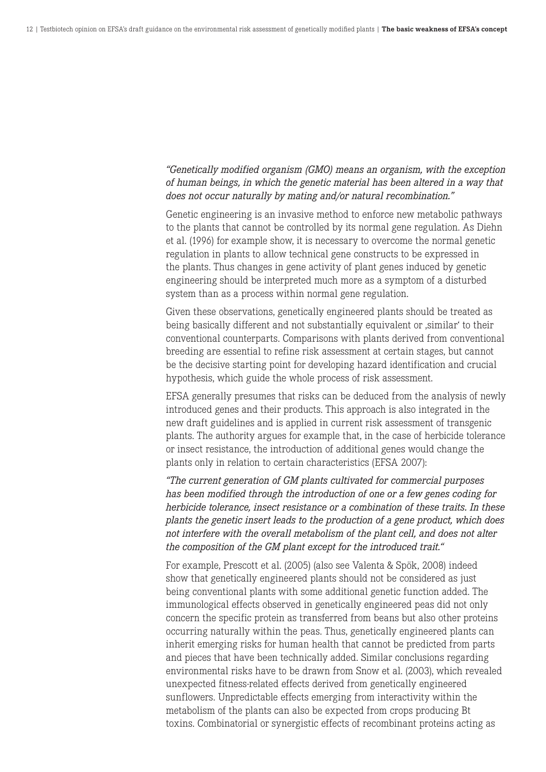*"Genetically modified organism (GMO) means an organism, with the exception of human beings, in which the genetic material has been altered in a way that does not occur naturally by mating and/or natural recombination."* 

Genetic engineering is an invasive method to enforce new metabolic pathways to the plants that cannot be controlled by its normal gene regulation. As Diehn et al. (1996) for example show, it is necessary to overcome the normal genetic regulation in plants to allow technical gene constructs to be expressed in the plants. Thus changes in gene activity of plant genes induced by genetic engineering should be interpreted much more as a symptom of a disturbed system than as a process within normal gene regulation.

Given these observations, genetically engineered plants should be treated as being basically different and not substantially equivalent or , similar' to their conventional counterparts. Comparisons with plants derived from conventional breeding are essential to refine risk assessment at certain stages, but cannot be the decisive starting point for developing hazard identification and crucial hypothesis, which guide the whole process of risk assessment.

EFSA generally presumes that risks can be deduced from the analysis of newly introduced genes and their products. This approach is also integrated in the new draft guidelines and is applied in current risk assessment of transgenic plants. The authority argues for example that, in the case of herbicide tolerance or insect resistance, the introduction of additional genes would change the plants only in relation to certain characteristics (EFSA 2007):

*"The current generation of GM plants cultivated for commercial purposes has been modified through the introduction of one or a few genes coding for herbicide tolerance, insect resistance or a combination of these traits. In these plants the genetic insert leads to the production of a gene product, which does not interfere with the overall metabolism of the plant cell, and does not alter the composition of the GM plant except for the introduced trait."*

For example, Prescott et al. (2005) (also see Valenta & Spök, 2008) indeed show that genetically engineered plants should not be considered as just being conventional plants with some additional genetic function added. The immunological effects observed in genetically engineered peas did not only concern the specific protein as transferred from beans but also other proteins occurring naturally within the peas. Thus, genetically engineered plants can inherit emerging risks for human health that cannot be predicted from parts and pieces that have been technically added. Similar conclusions regarding environmental risks have to be drawn from Snow et al. (2003), which revealed unexpected fitness-related effects derived from genetically engineered sunflowers. Unpredictable effects emerging from interactivity within the metabolism of the plants can also be expected from crops producing Bt toxins. Combinatorial or synergistic effects of recombinant proteins acting as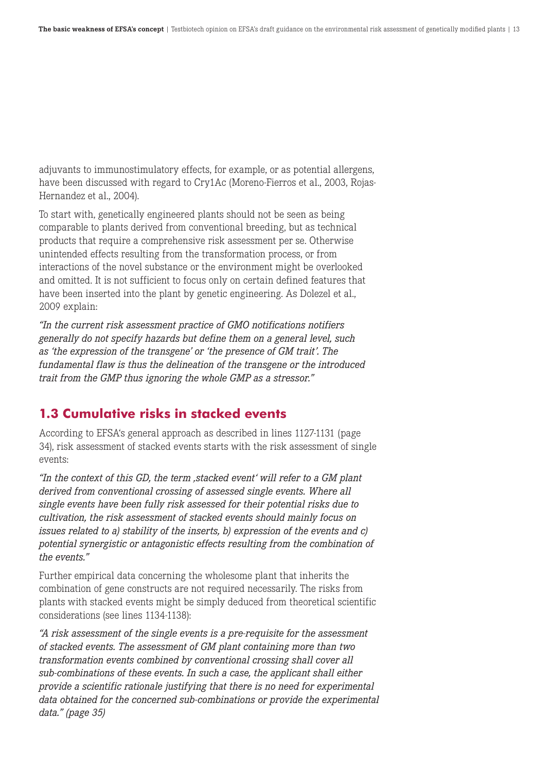adjuvants to immunostimulatory effects, for example, or as potential allergens, have been discussed with regard to Cry1Ac (Moreno-Fierros et al., 2003, Rojas-Hernandez et al., 2004).

To start with, genetically engineered plants should not be seen as being comparable to plants derived from conventional breeding, but as technical products that require a comprehensive risk assessment per se. Otherwise unintended effects resulting from the transformation process, or from interactions of the novel substance or the environment might be overlooked and omitted. It is not sufficient to focus only on certain defined features that have been inserted into the plant by genetic engineering. As Dolezel et al., 2009 explain:

*"In the current risk assessment practice of GMO notifications notifiers generally do not specify hazards but define them on a general level, such as 'the expression of the transgene' or 'the presence of GM trait'. The fundamental flaw is thus the delineation of the transgene or the introduced trait from the GMP thus ignoring the whole GMP as a stressor."*

### **1.3 Cumulative risks in stacked events**

According to EFSA's general approach as described in lines 1127-1131 (page 34), risk assessment of stacked events starts with the risk assessment of single events:

*"In the context of this GD, the term 'stacked event' will refer to a GM plant derived from conventional crossing of assessed single events. Where all single events have been fully risk assessed for their potential risks due to cultivation, the risk assessment of stacked events should mainly focus on issues related to a) stability of the inserts, b) expression of the events and c) potential synergistic or antagonistic effects resulting from the combination of the events."* 

Further empirical data concerning the wholesome plant that inherits the combination of gene constructs are not required necessarily. The risks from plants with stacked events might be simply deduced from theoretical scientific considerations (see lines 1134-1138):

*"A risk assessment of the single events is a pre-requisite for the assessment of stacked events. The assessment of GM plant containing more than two transformation events combined by conventional crossing shall cover all sub-combinations of these events. In such a case, the applicant shall either provide a scientific rationale justifying that there is no need for experimental data obtained for the concerned sub-combinations or provide the experimental data." (page 35)*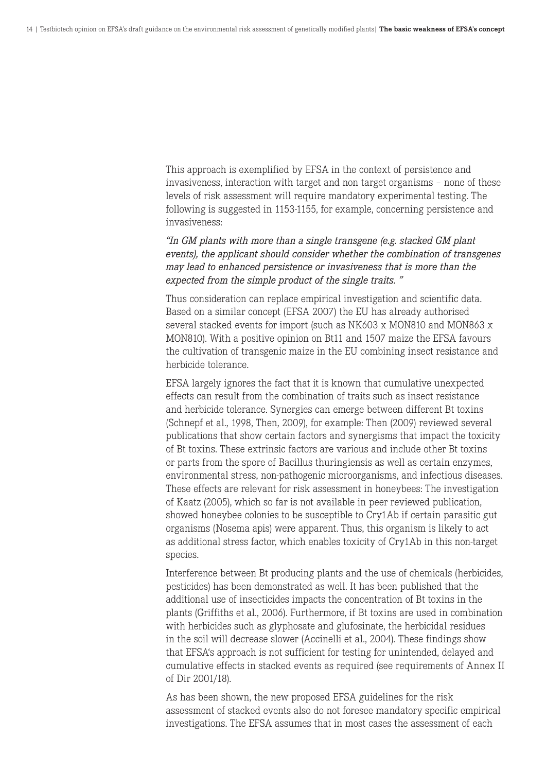This approach is exemplified by EFSA in the context of persistence and invasiveness, interaction with target and non target organisms – none of these levels of risk assessment will require mandatory experimental testing. The following is suggested in 1153-1155, for example, concerning persistence and invasiveness:

*"In GM plants with more than a single transgene (e.g. stacked GM plant events), the applicant should consider whether the combination of transgenes may lead to enhanced persistence or invasiveness that is more than the expected from the simple product of the single traits. "*

Thus consideration can replace empirical investigation and scientific data. Based on a similar concept (EFSA 2007) the EU has already authorised several stacked events for import (such as NK603 x MON810 and MON863 x MON810). With a positive opinion on Bt11 and 1507 maize the EFSA favours the cultivation of transgenic maize in the EU combining insect resistance and herbicide tolerance.

EFSA largely ignores the fact that it is known that cumulative unexpected effects can result from the combination of traits such as insect resistance and herbicide tolerance. Synergies can emerge between different Bt toxins (Schnepf et al., 1998, Then, 2009), for example: Then (2009) reviewed several publications that show certain factors and synergisms that impact the toxicity of Bt toxins. These extrinsic factors are various and include other Bt toxins or parts from the spore of Bacillus thuringiensis as well as certain enzymes, environmental stress, non-pathogenic microorganisms, and infectious diseases. These effects are relevant for risk assessment in honeybees: The investigation of Kaatz (2005), which so far is not available in peer reviewed publication, showed honeybee colonies to be susceptible to Cry1Ab if certain parasitic gut organisms (Nosema apis) were apparent. Thus, this organism is likely to act as additional stress factor, which enables toxicity of Cry1Ab in this non-target species.

Interference between Bt producing plants and the use of chemicals (herbicides, pesticides) has been demonstrated as well. It has been published that the additional use of insecticides impacts the concentration of Bt toxins in the plants (Griffiths et al., 2006). Furthermore, if Bt toxins are used in combination with herbicides such as glyphosate and glufosinate, the herbicidal residues in the soil will decrease slower (Accinelli et al., 2004). These findings show that EFSA's approach is not sufficient for testing for unintended, delayed and cumulative effects in stacked events as required (see requirements of Annex II of Dir 2001/18).

As has been shown, the new proposed EFSA guidelines for the risk assessment of stacked events also do not foresee mandatory specific empirical investigations. The EFSA assumes that in most cases the assessment of each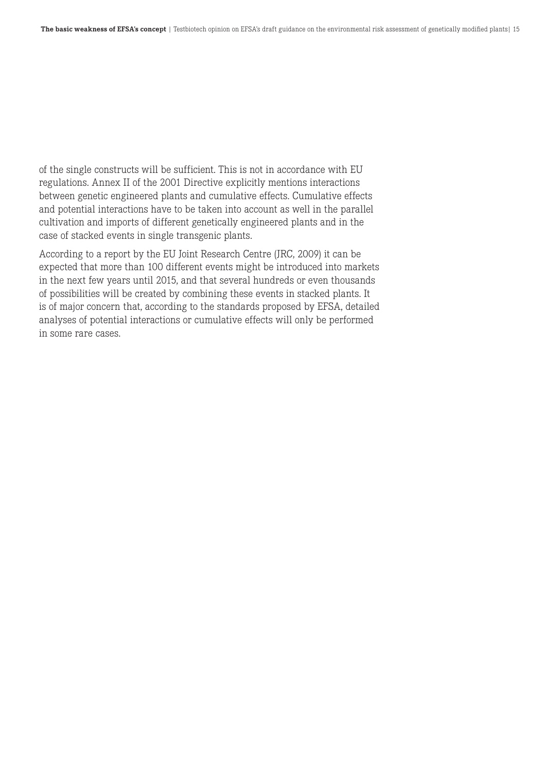of the single constructs will be sufficient. This is not in accordance with EU regulations. Annex II of the 2001 Directive explicitly mentions interactions between genetic engineered plants and cumulative effects. Cumulative effects and potential interactions have to be taken into account as well in the parallel cultivation and imports of different genetically engineered plants and in the case of stacked events in single transgenic plants.

According to a report by the EU Joint Research Centre (JRC, 2009) it can be expected that more than 100 different events might be introduced into markets in the next few years until 2015, and that several hundreds or even thousands of possibilities will be created by combining these events in stacked plants. It is of major concern that, according to the standards proposed by EFSA, detailed analyses of potential interactions or cumulative effects will only be performed in some rare cases.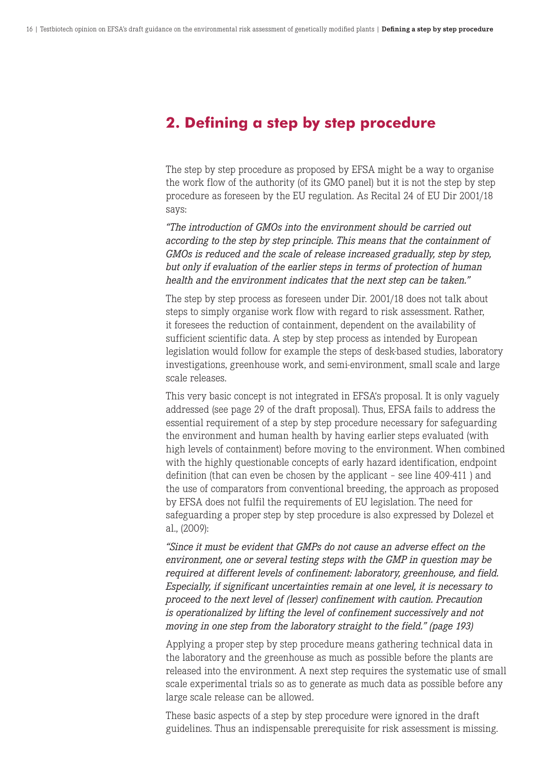### **2. Defining a step by step procedure**

The step by step procedure as proposed by EFSA might be a way to organise the work flow of the authority (of its GMO panel) but it is not the step by step procedure as foreseen by the EU regulation. As Recital 24 of EU Dir 2001/18 says:

*"The introduction of GMOs into the environment should be carried out according to the step by step principle. This means that the containment of GMOs is reduced and the scale of release increased gradually, step by step, but only if evaluation of the earlier steps in terms of protection of human health and the environment indicates that the next step can be taken."*

The step by step process as foreseen under Dir. 2001/18 does not talk about steps to simply organise work flow with regard to risk assessment. Rather, it foresees the reduction of containment, dependent on the availability of sufficient scientific data. A step by step process as intended by European legislation would follow for example the steps of desk-based studies, laboratory investigations, greenhouse work, and semi-environment, small scale and large scale releases.

This very basic concept is not integrated in EFSA's proposal. It is only vaguely addressed (see page 29 of the draft proposal). Thus, EFSA fails to address the essential requirement of a step by step procedure necessary for safeguarding the environment and human health by having earlier steps evaluated (with high levels of containment) before moving to the environment. When combined with the highly questionable concepts of early hazard identification, endpoint definition (that can even be chosen by the applicant – see line 409-411 ) and the use of comparators from conventional breeding, the approach as proposed by EFSA does not fulfil the requirements of EU legislation. The need for safeguarding a proper step by step procedure is also expressed by Dolezel et al., (2009):

*"Since it must be evident that GMPs do not cause an adverse effect on the environment, one or several testing steps with the GMP in question may be required at different levels of confinement: laboratory, greenhouse, and field. Especially, if significant uncertainties remain at one level, it is necessary to proceed to the next level of (lesser) confinement with caution. Precaution is operationalized by lifting the level of confinement successively and not moving in one step from the laboratory straight to the field." (page 193)*

Applying a proper step by step procedure means gathering technical data in the laboratory and the greenhouse as much as possible before the plants are released into the environment. A next step requires the systematic use of small scale experimental trials so as to generate as much data as possible before any large scale release can be allowed.

These basic aspects of a step by step procedure were ignored in the draft guidelines. Thus an indispensable prerequisite for risk assessment is missing.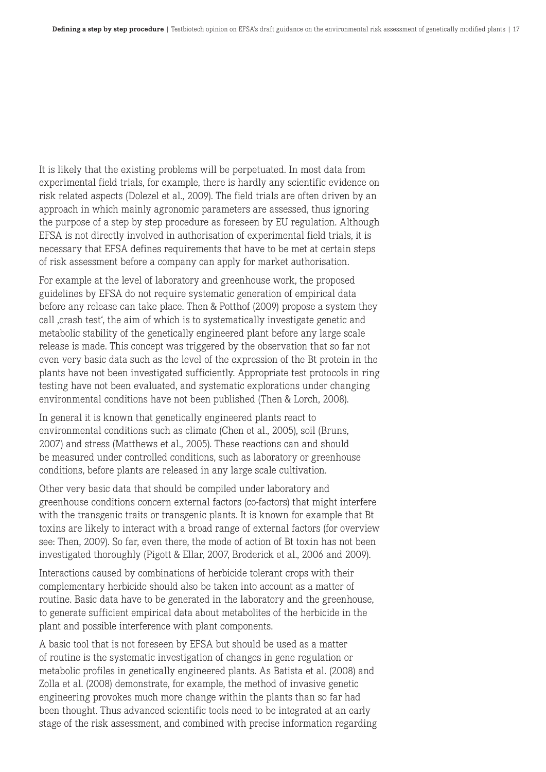It is likely that the existing problems will be perpetuated. In most data from experimental field trials, for example, there is hardly any scientific evidence on risk related aspects (Dolezel et al., 2009). The field trials are often driven by an approach in which mainly agronomic parameters are assessed, thus ignoring the purpose of a step by step procedure as foreseen by EU regulation. Although EFSA is not directly involved in authorisation of experimental field trials, it is necessary that EFSA defines requirements that have to be met at certain steps of risk assessment before a company can apply for market authorisation.

For example at the level of laboratory and greenhouse work, the proposed guidelines by EFSA do not require systematic generation of empirical data before any release can take place. Then & Potthof (2009) propose a system they call crash test, the aim of which is to systematically investigate genetic and metabolic stability of the genetically engineered plant before any large scale release is made. This concept was triggered by the observation that so far not even very basic data such as the level of the expression of the Bt protein in the plants have not been investigated sufficiently. Appropriate test protocols in ring testing have not been evaluated, and systematic explorations under changing environmental conditions have not been published (Then & Lorch, 2008).

In general it is known that genetically engineered plants react to environmental conditions such as climate (Chen et al., 2005), soil (Bruns, 2007) and stress (Matthews et al., 2005). These reactions can and should be measured under controlled conditions, such as laboratory or greenhouse conditions, before plants are released in any large scale cultivation.

Other very basic data that should be compiled under laboratory and greenhouse conditions concern external factors (co-factors) that might interfere with the transgenic traits or transgenic plants. It is known for example that Bt toxins are likely to interact with a broad range of external factors (for overview see: Then, 2009). So far, even there, the mode of action of Bt toxin has not been investigated thoroughly (Pigott & Ellar, 2007, Broderick et al., 2006 and 2009).

Interactions caused by combinations of herbicide tolerant crops with their complementary herbicide should also be taken into account as a matter of routine. Basic data have to be generated in the laboratory and the greenhouse, to generate sufficient empirical data about metabolites of the herbicide in the plant and possible interference with plant components.

A basic tool that is not foreseen by EFSA but should be used as a matter of routine is the systematic investigation of changes in gene regulation or metabolic profiles in genetically engineered plants. As Batista et al. (2008) and Zolla et al. (2008) demonstrate, for example, the method of invasive genetic engineering provokes much more change within the plants than so far had been thought. Thus advanced scientific tools need to be integrated at an early stage of the risk assessment, and combined with precise information regarding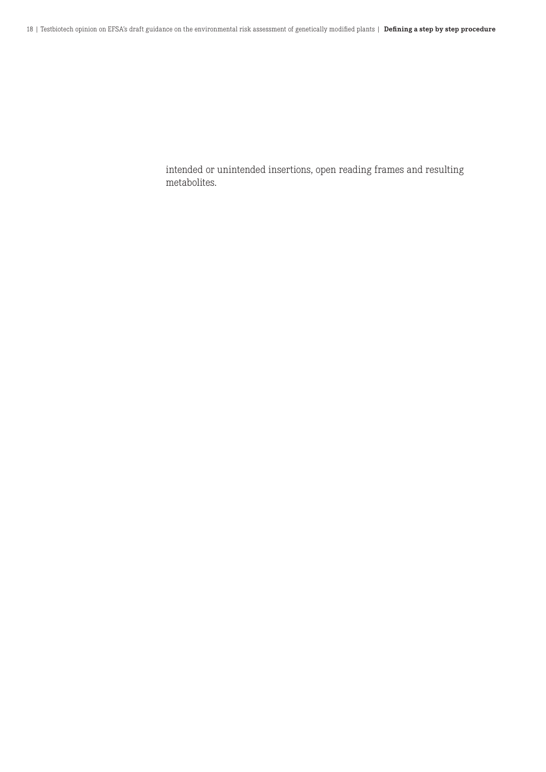intended or unintended insertions, open reading frames and resulting metabolites.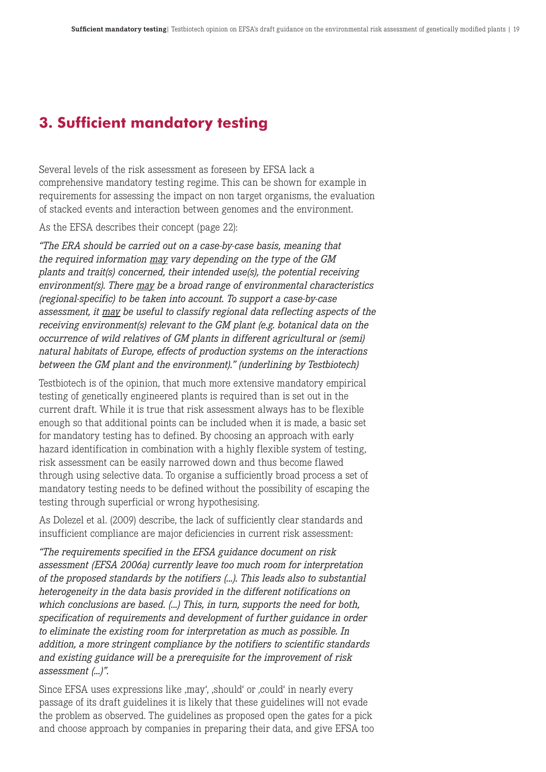## **3. Sufficient mandatory testing**

Several levels of the risk assessment as foreseen by EFSA lack a comprehensive mandatory testing regime. This can be shown for example in requirements for assessing the impact on non target organisms, the evaluation of stacked events and interaction between genomes and the environment.

As the EFSA describes their concept (page 22):

*"The ERA should be carried out on a case-by-case basis, meaning that the required information may vary depending on the type of the GM plants and trait(s) concerned, their intended use(s), the potential receiving environment(s). There may be a broad range of environmental characteristics (regional-specific) to be taken into account. To support a case-by-case assessment, it may be useful to classify regional data reflecting aspects of the receiving environment(s) relevant to the GM plant (e.g. botanical data on the occurrence of wild relatives of GM plants in different agricultural or (semi) natural habitats of Europe, effects of production systems on the interactions between the GM plant and the environment)." (underlining by Testbiotech)* 

Testbiotech is of the opinion, that much more extensive mandatory empirical testing of genetically engineered plants is required than is set out in the current draft. While it is true that risk assessment always has to be flexible enough so that additional points can be included when it is made, a basic set for mandatory testing has to defined. By choosing an approach with early hazard identification in combination with a highly flexible system of testing, risk assessment can be easily narrowed down and thus become flawed through using selective data. To organise a sufficiently broad process a set of mandatory testing needs to be defined without the possibility of escaping the testing through superficial or wrong hypothesising.

As Dolezel et al. (2009) describe, the lack of sufficiently clear standards and insufficient compliance are major deficiencies in current risk assessment:

*"The requirements specified in the EFSA guidance document on risk assessment (EFSA 2006a) currently leave too much room for interpretation of the proposed standards by the notifiers (...). This leads also to substantial heterogeneity in the data basis provided in the different notifications on which conclusions are based. (...) This, in turn, supports the need for both, specification of requirements and development of further guidance in order to eliminate the existing room for interpretation as much as possible. In addition, a more stringent compliance by the notifiers to scientific standards and existing guidance will be a prerequisite for the improvement of risk assessment (...)".* 

Since EFSA uses expressions like , may', , should' or , could' in nearly every passage of its draft guidelines it is likely that these guidelines will not evade the problem as observed. The guidelines as proposed open the gates for a pick and choose approach by companies in preparing their data, and give EFSA too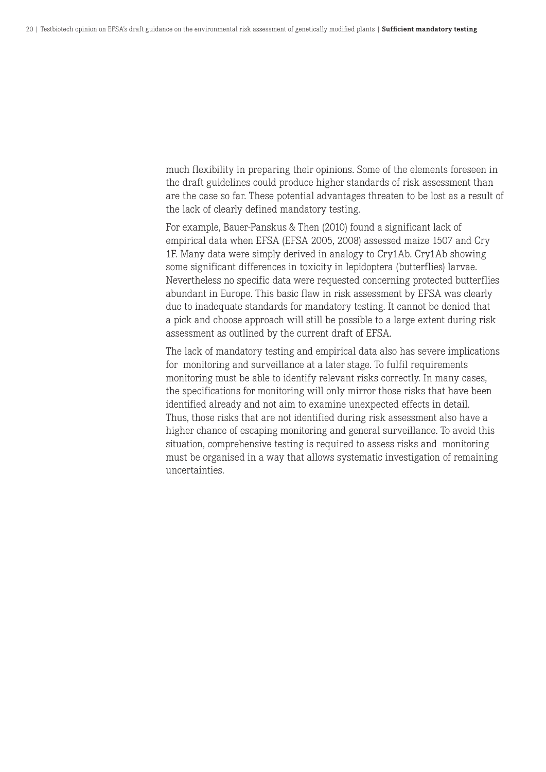much flexibility in preparing their opinions. Some of the elements foreseen in the draft guidelines could produce higher standards of risk assessment than are the case so far. These potential advantages threaten to be lost as a result of the lack of clearly defined mandatory testing.

For example, Bauer-Panskus & Then (2010) found a significant lack of empirical data when EFSA (EFSA 2005, 2008) assessed maize 1507 and Cry 1F. Many data were simply derived in analogy to Cry1Ab. Cry1Ab showing some significant differences in toxicity in lepidoptera (butterflies) larvae. Nevertheless no specific data were requested concerning protected butterflies abundant in Europe. This basic flaw in risk assessment by EFSA was clearly due to inadequate standards for mandatory testing. It cannot be denied that a pick and choose approach will still be possible to a large extent during risk assessment as outlined by the current draft of EFSA.

The lack of mandatory testing and empirical data also has severe implications for monitoring and surveillance at a later stage. To fulfil requirements monitoring must be able to identify relevant risks correctly. In many cases, the specifications for monitoring will only mirror those risks that have been identified already and not aim to examine unexpected effects in detail. Thus, those risks that are not identified during risk assessment also have a higher chance of escaping monitoring and general surveillance. To avoid this situation, comprehensive testing is required to assess risks and monitoring must be organised in a way that allows systematic investigation of remaining uncertainties.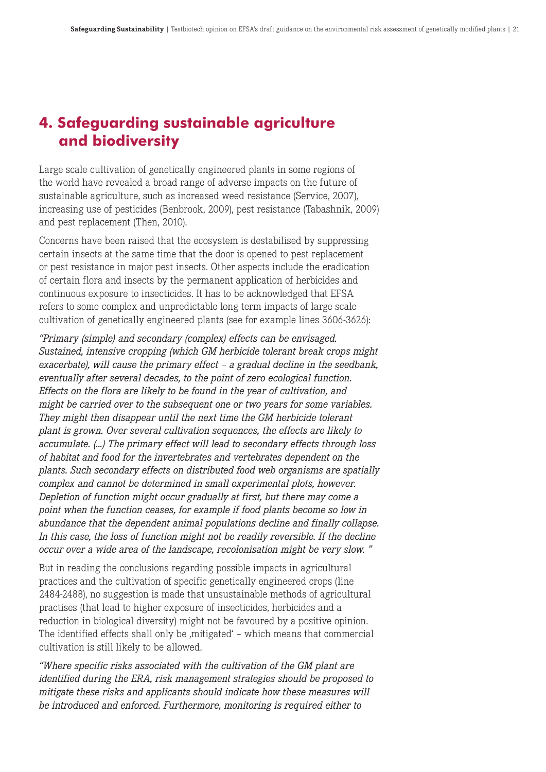## **4. Safeguarding sustainable agriculture and biodiversity**

Large scale cultivation of genetically engineered plants in some regions of the world have revealed a broad range of adverse impacts on the future of sustainable agriculture, such as increased weed resistance (Service, 2007), increasing use of pesticides (Benbrook, 2009), pest resistance (Tabashnik, 2009) and pest replacement (Then, 2010).

Concerns have been raised that the ecosystem is destabilised by suppressing certain insects at the same time that the door is opened to pest replacement or pest resistance in major pest insects. Other aspects include the eradication of certain flora and insects by the permanent application of herbicides and continuous exposure to insecticides. It has to be acknowledged that EFSA refers to some complex and unpredictable long term impacts of large scale cultivation of genetically engineered plants (see for example lines 3606-3626):

*"Primary (simple) and secondary (complex) effects can be envisaged. Sustained, intensive cropping (which GM herbicide tolerant break crops might exacerbate), will cause the primary effect – a gradual decline in the seedbank, eventually after several decades, to the point of zero ecological function. Effects on the flora are likely to be found in the year of cultivation, and might be carried over to the subsequent one or two years for some variables. They might then disappear until the next time the GM herbicide tolerant plant is grown. Over several cultivation sequences, the effects are likely to accumulate. (...) The primary effect will lead to secondary effects through loss of habitat and food for the invertebrates and vertebrates dependent on the plants. Such secondary effects on distributed food web organisms are spatially complex and cannot be determined in small experimental plots, however. Depletion of function might occur gradually at first, but there may come a point when the function ceases, for example if food plants become so low in abundance that the dependent animal populations decline and finally collapse. In this case, the loss of function might not be readily reversible. If the decline occur over a wide area of the landscape, recolonisation might be very slow. "*

But in reading the conclusions regarding possible impacts in agricultural practices and the cultivation of specific genetically engineered crops (line 2484-2488), no suggestion is made that unsustainable methods of agricultural practises (that lead to higher exposure of insecticides, herbicides and a reduction in biological diversity) might not be favoured by a positive opinion. The identified effects shall only be , mitigated' – which means that commercial cultivation is still likely to be allowed.

*"Where specific risks associated with the cultivation of the GM plant are identified during the ERA, risk management strategies should be proposed to mitigate these risks and applicants should indicate how these measures will be introduced and enforced. Furthermore, monitoring is required either to*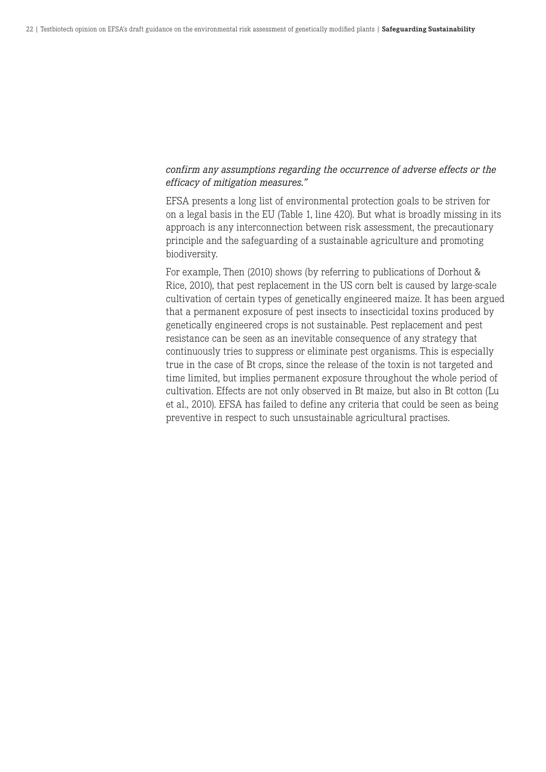#### *confirm any assumptions regarding the occurrence of adverse effects or the efficacy of mitigation measures."*

EFSA presents a long list of environmental protection goals to be striven for on a legal basis in the EU (Table 1, line 420). But what is broadly missing in its approach is any interconnection between risk assessment, the precautionary principle and the safeguarding of a sustainable agriculture and promoting biodiversity.

For example, Then (2010) shows (by referring to publications of Dorhout & Rice, 2010), that pest replacement in the US corn belt is caused by large-scale cultivation of certain types of genetically engineered maize. It has been argued that a permanent exposure of pest insects to insecticidal toxins produced by genetically engineered crops is not sustainable. Pest replacement and pest resistance can be seen as an inevitable consequence of any strategy that continuously tries to suppress or eliminate pest organisms. This is especially true in the case of Bt crops, since the release of the toxin is not targeted and time limited, but implies permanent exposure throughout the whole period of cultivation. Effects are not only observed in Bt maize, but also in Bt cotton (Lu et al., 2010). EFSA has failed to define any criteria that could be seen as being preventive in respect to such unsustainable agricultural practises.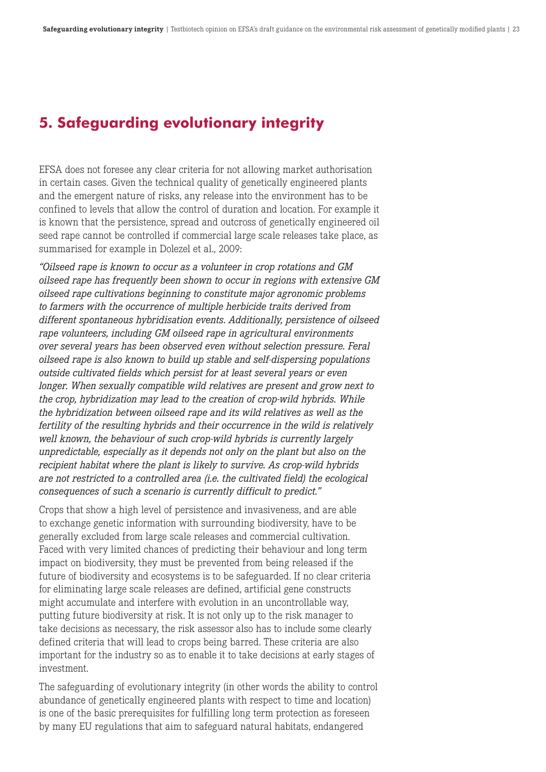## **5. Safeguarding evolutionary integrity**

EFSA does not foresee any clear criteria for not allowing market authorisation in certain cases. Given the technical quality of genetically engineered plants and the emergent nature of risks, any release into the environment has to be confined to levels that allow the control of duration and location. For example it is known that the persistence, spread and outcross of genetically engineered oil seed rape cannot be controlled if commercial large scale releases take place, as summarised for example in Dolezel et al., 2009:

*"Oilseed rape is known to occur as a volunteer in crop rotations and GM oilseed rape has frequently been shown to occur in regions with extensive GM oilseed rape cultivations beginning to constitute major agronomic problems to farmers with the occurrence of multiple herbicide traits derived from different spontaneous hybridisation events. Additionally, persistence of oilseed rape volunteers, including GM oilseed rape in agricultural environments over several years has been observed even without selection pressure. Feral oilseed rape is also known to build up stable and self-dispersing populations outside cultivated fields which persist for at least several years or even longer. When sexually compatible wild relatives are present and grow next to the crop, hybridization may lead to the creation of crop-wild hybrids. While the hybridization between oilseed rape and its wild relatives as well as the fertility of the resulting hybrids and their occurrence in the wild is relatively well known, the behaviour of such crop-wild hybrids is currently largely unpredictable, especially as it depends not only on the plant but also on the recipient habitat where the plant is likely to survive. As crop-wild hybrids are not restricted to a controlled area (i.e. the cultivated field) the ecological consequences of such a scenario is currently difficult to predict."*

Crops that show a high level of persistence and invasiveness, and are able to exchange genetic information with surrounding biodiversity, have to be generally excluded from large scale releases and commercial cultivation. Faced with very limited chances of predicting their behaviour and long term impact on biodiversity, they must be prevented from being released if the future of biodiversity and ecosystems is to be safeguarded. If no clear criteria for eliminating large scale releases are defined, artificial gene constructs might accumulate and interfere with evolution in an uncontrollable way, putting future biodiversity at risk. It is not only up to the risk manager to take decisions as necessary, the risk assessor also has to include some clearly defined criteria that will lead to crops being barred. These criteria are also important for the industry so as to enable it to take decisions at early stages of investment.

The safeguarding of evolutionary integrity (in other words the ability to control abundance of genetically engineered plants with respect to time and location) is one of the basic prerequisites for fulfilling long term protection as foreseen by many EU regulations that aim to safeguard natural habitats, endangered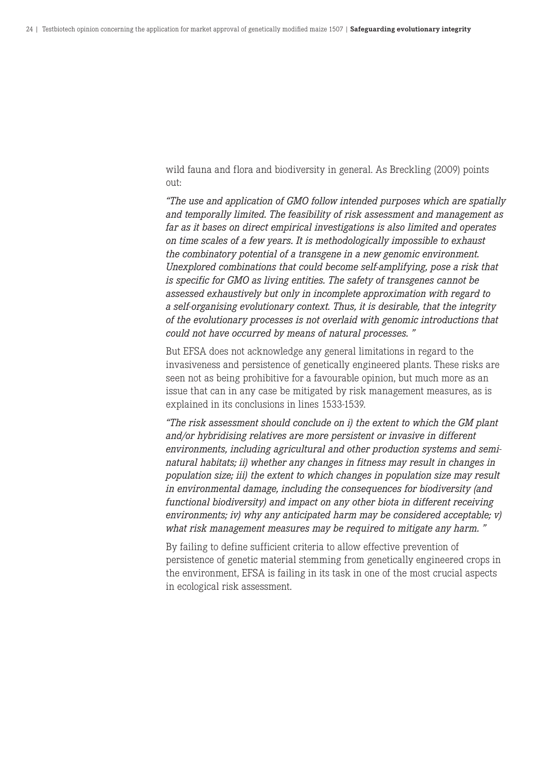wild fauna and flora and biodiversity in general. As Breckling (2009) points out:

*"The use and application of GMO follow intended purposes which are spatially and temporally limited. The feasibility of risk assessment and management as far as it bases on direct empirical investigations is also limited and operates on time scales of a few years. It is methodologically impossible to exhaust the combinatory potential of a transgene in a new genomic environment. Unexplored combinations that could become self-amplifying, pose a risk that is specific for GMO as living entities. The safety of transgenes cannot be assessed exhaustively but only in incomplete approximation with regard to a self-organising evolutionary context. Thus, it is desirable, that the integrity of the evolutionary processes is not overlaid with genomic introductions that could not have occurred by means of natural processes. "*

But EFSA does not acknowledge any general limitations in regard to the invasiveness and persistence of genetically engineered plants. These risks are seen not as being prohibitive for a favourable opinion, but much more as an issue that can in any case be mitigated by risk management measures, as is explained in its conclusions in lines 1533-1539.

*"The risk assessment should conclude on i) the extent to which the GM plant and/or hybridising relatives are more persistent or invasive in different environments, including agricultural and other production systems and seminatural habitats; ii) whether any changes in fitness may result in changes in population size; iii) the extent to which changes in population size may result in environmental damage, including the consequences for biodiversity (and functional biodiversity) and impact on any other biota in different receiving environments; iv) why any anticipated harm may be considered acceptable; v) what risk management measures may be required to mitigate any harm. "*

By failing to define sufficient criteria to allow effective prevention of persistence of genetic material stemming from genetically engineered crops in the environment, EFSA is failing in its task in one of the most crucial aspects in ecological risk assessment.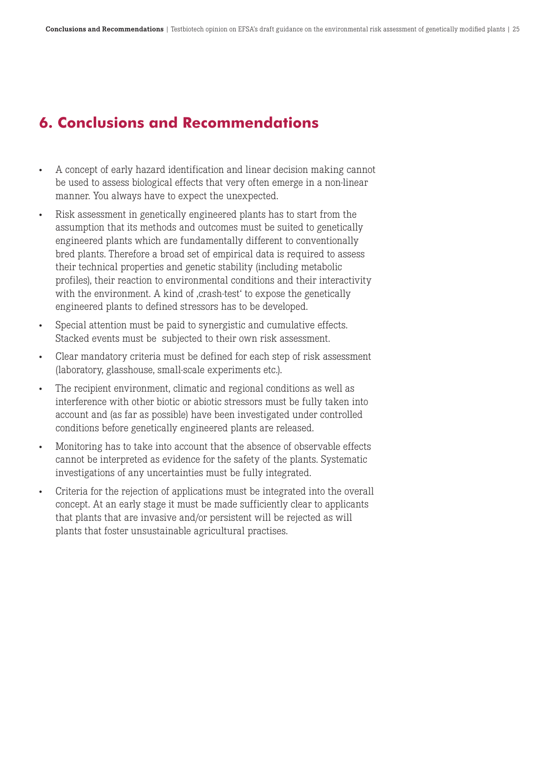## **6. Conclusions and Recommendations**

- • A concept of early hazard identification and linear decision making cannot be used to assess biological effects that very often emerge in a non-linear manner. You always have to expect the unexpected.
- Risk assessment in genetically engineered plants has to start from the assumption that its methods and outcomes must be suited to genetically engineered plants which are fundamentally different to conventionally bred plants. Therefore a broad set of empirical data is required to assess their technical properties and genetic stability (including metabolic profiles), their reaction to environmental conditions and their interactivity with the environment. A kind of .crash-test' to expose the genetically engineered plants to defined stressors has to be developed.
- Special attention must be paid to synergistic and cumulative effects. Stacked events must be subjected to their own risk assessment.
- • Clear mandatory criteria must be defined for each step of risk assessment (laboratory, glasshouse, small-scale experiments etc.).
- The recipient environment, climatic and regional conditions as well as interference with other biotic or abiotic stressors must be fully taken into account and (as far as possible) have been investigated under controlled conditions before genetically engineered plants are released.
- • Monitoring has to take into account that the absence of observable effects cannot be interpreted as evidence for the safety of the plants. Systematic investigations of any uncertainties must be fully integrated.
- Criteria for the rejection of applications must be integrated into the overall concept. At an early stage it must be made sufficiently clear to applicants that plants that are invasive and/or persistent will be rejected as will plants that foster unsustainable agricultural practises.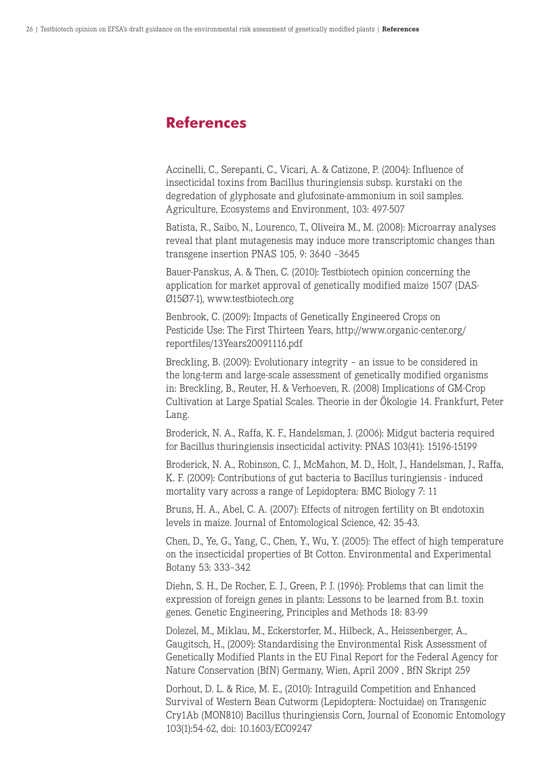### **References**

Accinelli, C., Serepanti, C., Vicari, A. & Catizone, P. (2004): Influence of insecticidal toxins from Bacillus thuringiensis subsp. kurstaki on the degredation of glyphosate and glufosinate-ammonium in soil samples. Agriculture, Ecosystems and Environment, 103: 497-507

Batista, R., Saibo, N., Lourenco, T., Oliveira M., M. (2008): Microarray analyses reveal that plant mutagenesis may induce more transcriptomic changes than transgene insertion PNAS 105, 9: 3640 –3645

Bauer-Panskus, A. & Then, C. (2010): Testbiotech opinion concerning the application for market approval of genetically modified maize 1507 (DAS-Ø15Ø7-1), www.testbiotech.org

Benbrook, C. (2009): Impacts of Genetically Engineered Crops on Pesticide Use: The First Thirteen Years, http://www.organic-center.org/ reportfiles/13Years20091116.pdf

Breckling, B. (2009): Evolutionary integrity – an issue to be considered in the long-term and large-scale assessment of genetically modified organisms in: Breckling, B., Reuter, H. & Verhoeven, R. (2008) Implications of GM-Crop Cultivation at Large Spatial Scales. Theorie in der Ökologie 14. Frankfurt, Peter Lang.

Broderick, N. A., Raffa, K. F., Handelsman, J. (2006): Midgut bacteria required for Bacillus thuringiensis insecticidal activity: PNAS 103(41): 15196-15199

Broderick, N. A., Robinson, C. J., McMahon, M. D., Holt, J., Handelsman, J., Raffa, K. F. (2009): Contributions of gut bacteria to Bacillus turingiensis - induced mortality vary across a range of Lepidoptera: BMC Biology 7: 11

Bruns, H. A., Abel, C. A. (2007): Effects of nitrogen fertility on Bt endotoxin levels in maize. Journal of Entomological Science, 42: 35-43.

Chen, D., Ye, G., Yang, C., Chen, Y., Wu, Y. (2005): The effect of high temperature on the insecticidal properties of Bt Cotton. Environmental and Experimental Botany 53: 333–342

Diehn, S. H., De Rocher, E. J., Green, P. J. (1996): Problems that can limit the expression of foreign genes in plants: Lessons to be learned from B.t. toxin genes. Genetic Engineering, Principles and Methods 18: 83-99

Dolezel, M., Miklau, M., Eckerstorfer, M., Hilbeck, A., Heissenberger, A., Gaugitsch, H., (2009): Standardising the Environmental Risk Assessment of Genetically Modified Plants in the EU Final Report for the Federal Agency for Nature Conservation (BfN) Germany, Wien, April 2009 , BfN Skript 259

Dorhout, D. L. & Rice, M. E., (2010): Intraguild Competition and Enhanced Survival of Western Bean Cutworm (Lepidoptera: Noctuidae) on Transgenic Cry1Ab (MON810) Bacillus thuringiensis Corn, Journal of Economic Entomology 103(1):54-62, doi: 10.1603/EC09247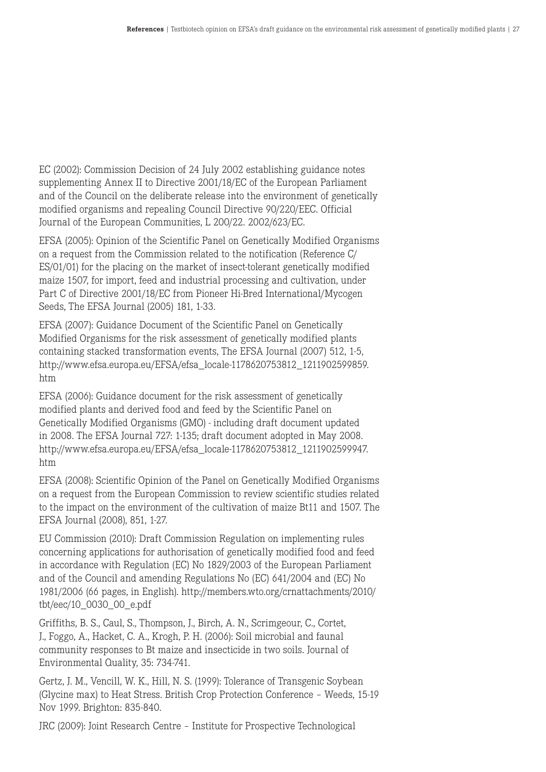EC (2002): Commission Decision of 24 July 2002 establishing guidance notes supplementing Annex II to Directive 2001/18/EC of the European Parliament and of the Council on the deliberate release into the environment of genetically modified organisms and repealing Council Directive 90/220/EEC. Official Journal of the European Communities, L 200/22. 2002/623/EC.

EFSA (2005): Opinion of the Scientific Panel on Genetically Modified Organisms on a request from the Commission related to the notification (Reference C/ ES/01/01) for the placing on the market of insect-tolerant genetically modified maize 1507, for import, feed and industrial processing and cultivation, under Part C of Directive 2001/18/EC from Pioneer Hi-Bred International/Mycogen Seeds, The EFSA Journal (2005) 181, 1-33.

EFSA (2007): Guidance Document of the Scientific Panel on Genetically Modified Organisms for the risk assessment of genetically modified plants containing stacked transformation events, The EFSA Journal (2007) 512, 1-5, http://www.efsa.europa.eu/EFSA/efsa\_locale-1178620753812\_1211902599859. htm

EFSA (2006): Guidance document for the risk assessment of genetically modified plants and derived food and feed by the Scientific Panel on Genetically Modified Organisms (GMO) - including draft document updated in 2008. The EFSA Journal 727: 1-135; draft document adopted in May 2008. http://www.efsa.europa.eu/EFSA/efsa\_locale-1178620753812\_1211902599947. htm

EFSA (2008): Scientific Opinion of the Panel on Genetically Modified Organisms on a request from the European Commission to review scientific studies related to the impact on the environment of the cultivation of maize Bt11 and 1507. The EFSA Journal (2008), 851, 1-27.

EU Commission (2010): Draft Commission Regulation on implementing rules concerning applications for authorisation of genetically modified food and feed in accordance with Regulation (EC) No 1829/2003 of the European Parliament and of the Council and amending Regulations No (EC) 641/2004 and (EC) No 1981/2006 (66 pages, in English). http://members.wto.org/crnattachments/2010/ tbt/eec/10\_0030\_00\_e.pdf

Griffiths, B. S., Caul, S., Thompson, J., Birch, A. N., Scrimgeour, C., Cortet, J., Foggo, A., Hacket, C. A., Krogh, P. H. (2006): Soil microbial and faunal community responses to Bt maize and insecticide in two soils. Journal of Environmental Quality, 35: 734-741.

Gertz, J. M., Vencill, W. K., Hill, N. S. (1999): Tolerance of Transgenic Soybean (Glycine max) to Heat Stress. British Crop Protection Conference – Weeds, 15-19 Nov 1999. Brighton: 835-840.

JRC (2009): Joint Research Centre – Institute for Prospective Technological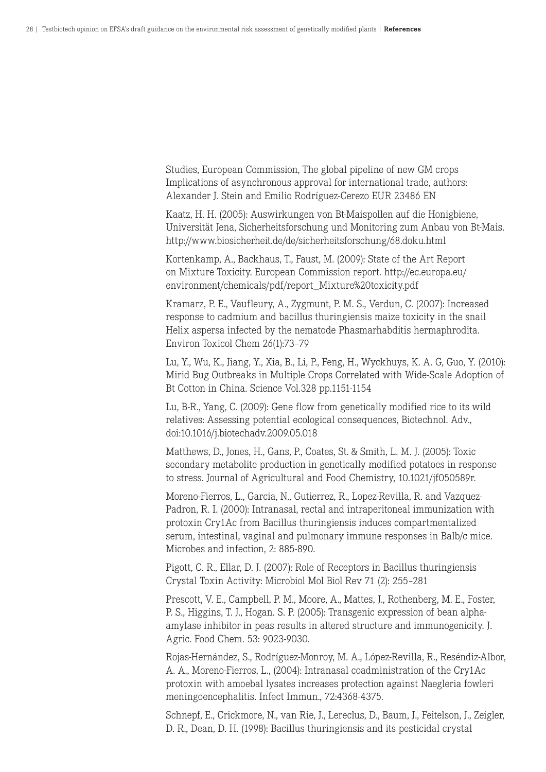Studies, European Commission, The global pipeline of new GM crops Implications of asynchronous approval for international trade, authors: Alexander J. Stein and Emilio Rodríguez-Cerezo EUR 23486 EN

Kaatz, H. H. (2005): Auswirkungen von Bt-Maispollen auf die Honigbiene, Universität Jena, Sicherheitsforschung und Monitoring zum Anbau von Bt-Mais. http://www.biosicherheit.de/de/sicherheitsforschung/68.doku.html

Kortenkamp, A., Backhaus, T., Faust, M. (2009): State of the Art Report on Mixture Toxicity. European Commission report. http://ec.europa.eu/ environment/chemicals/pdf/report\_Mixture%20toxicity.pdf

Kramarz, P. E., Vaufleury, A., Zygmunt, P. M. S., Verdun, C. (2007): Increased response to cadmium and bacillus thuringiensis maize toxicity in the snail Helix aspersa infected by the nematode Phasmarhabditis hermaphrodita. Environ Toxicol Chem 26(1):73–79

Lu, Y., Wu, K., Jiang, Y., Xia, B., Li, P., Feng, H., Wyckhuys, K. A. G, Guo, Y. (2010): Mirid Bug Outbreaks in Multiple Crops Correlated with Wide-Scale Adoption of Bt Cotton in China. Science Vol.328 pp.1151-1154

Lu, B-R., Yang, C. (2009): Gene flow from genetically modified rice to its wild relatives: Assessing potential ecological consequences, Biotechnol. Adv., doi:10.1016/j.biotechadv.2009.05.018

Matthews, D., Jones, H., Gans, P., Coates, St. & Smith, L. M. J. (2005): Toxic secondary metabolite production in genetically modified potatoes in response to stress. Journal of Agricultural and Food Chemistry, 10.1021/jf050589r.

Moreno-Fierros, L., Garcia, N., Gutierrez, R., Lopez-Revilla, R. and Vazquez-Padron, R. I. (2000): Intranasal, rectal and intraperitoneal immunization with protoxin Cry1Ac from Bacillus thuringiensis induces compartmentalized serum, intestinal, vaginal and pulmonary immune responses in Balb/c mice. Microbes and infection, 2: 885-890.

Pigott, C. R., Ellar, D. J. (2007): Role of Receptors in Bacillus thuringiensis Crystal Toxin Activity: Microbiol Mol Biol Rev 71 (2): 255–281

Prescott, V. E., Campbell, P. M., Moore, A., Mattes, J., Rothenberg, M. E., Foster, P. S., Higgins, T. J., Hogan. S. P. (2005): Transgenic expression of bean alphaamylase inhibitor in peas results in altered structure and immunogenicity. J. Agric. Food Chem. 53: 9023-9030.

Rojas-Hernández, S., Rodríguez-Monroy, M. A., López-Revilla, R., Reséndiz-Albor, A. A., Moreno-Fierros, L., (2004): Intranasal coadministration of the Cry1Ac protoxin with amoebal lysates increases protection against Naegleria fowleri meningoencephalitis. Infect Immun., 72:4368-4375.

Schnepf, E., Crickmore, N., van Rie, J., Lereclus, D., Baum, J., Feitelson, J., Zeigler, D. R., Dean, D. H. (1998): Bacillus thuringiensis and its pesticidal crystal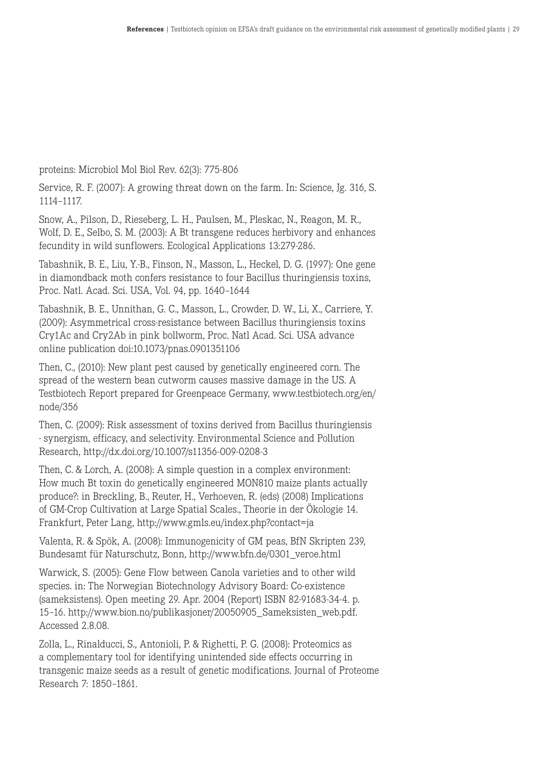proteins: Microbiol Mol Biol Rev. 62(3): 775-806

Service, R. F. (2007): A growing threat down on the farm. In: Science, Jg. 316, S. 1114–1117.

Snow, A., Pilson, D., Rieseberg, L. H., Paulsen, M., Pleskac, N., Reagon, M. R., Wolf, D. E., Selbo, S. M. (2003): A Bt transgene reduces herbivory and enhances fecundity in wild sunflowers. Ecological Applications 13:279-286.

Tabashnik, B. E., Liu, Y.-B., Finson, N., Masson, L., Heckel, D. G. (1997): One gene in diamondback moth confers resistance to four Bacillus thuringiensis toxins, Proc. Natl. Acad. Sci. USA, Vol. 94, pp. 1640–1644

Tabashnik, B. E., Unnithan, G. C., Masson, L., Crowder, D. W., Li, X., Carriere, Y. (2009): Asymmetrical cross-resistance between Bacillus thuringiensis toxins Cry1Ac and Cry2Ab in pink bollworm, Proc. Natl Acad. Sci. USA advance online publication doi:10.1073/pnas.0901351106

Then, C., (2010): New plant pest caused by genetically engineered corn. The spread of the western bean cutworm causes massive damage in the US. A Testbiotech Report prepared for Greenpeace Germany, www.testbiotech.org/en/ node/356

Then, C. (2009): Risk assessment of toxins derived from Bacillus thuringiensis - synergism, efficacy, and selectivity. Environmental Science and Pollution Research, http://dx.doi.org/10.1007/s11356-009-0208-3

Then, C. & Lorch, A. (2008): A simple question in a complex environment: How much Bt toxin do genetically engineered MON810 maize plants actually produce?: in Breckling, B., Reuter, H., Verhoeven, R. (eds) (2008) Implications of GM-Crop Cultivation at Large Spatial Scales., Theorie in der Ökologie 14. Frankfurt, Peter Lang, http://www.gmls.eu/index.php?contact=ja

Valenta, R. & Spök, A. (2008): Immunogenicity of GM peas, BfN Skripten 239, Bundesamt für Naturschutz, Bonn, http://www.bfn.de/0301\_veroe.html

Warwick, S. (2005): Gene Flow between Canola varieties and to other wild species. in: The Norwegian Biotechnology Advisory Board: Co-existence (sameksistens). Open meeting 29. Apr. 2004 (Report) ISBN 82-91683-34-4. p. 15–16. http://www.bion.no/publikasjoner/20050905\_Sameksisten\_web.pdf. Accessed 2.8.08.

Zolla, L., Rinalducci, S., Antonioli, P. & Righetti, P. G. (2008): Proteomics as a complementary tool for identifying unintended side effects occurring in transgenic maize seeds as a result of genetic modifications. Journal of Proteome Research 7: 1850–1861.